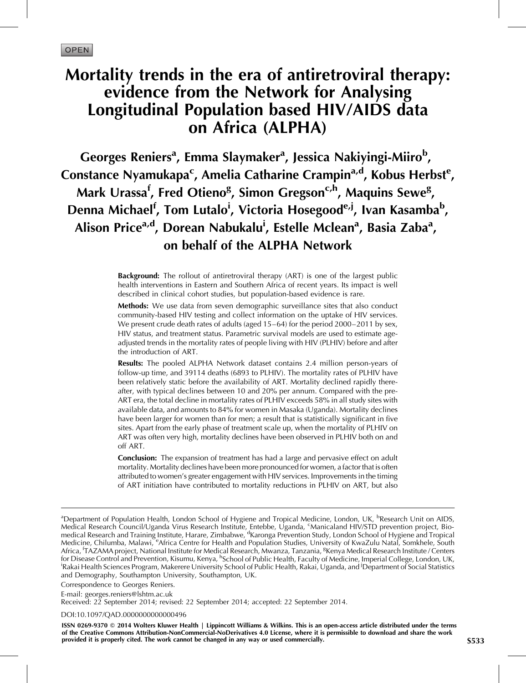# Mortality trends in the era of antiretroviral therapy: evidence from the Network for Analysing Longitudinal Population based HIV/AIDS data on Africa (ALPHA)

Georges Reniers<sup>a</sup>, Emma Slaymaker<sup>a</sup>, Jessica Nakiyingi-Miiro<sup>b</sup>, Constance Nyamukapa<sup>c</sup>, Amelia Catharine Crampin<sup>a,d</sup>, Kobus Herbst<sup>e</sup>, Mark Urassa<sup>f</sup>, Fred Otieno<sup>g</sup>, Simon Gregson<sup>c,h</sup>, Maquins Sewe<sup>g</sup>, Denna Michael<sup>f</sup>, Tom Lutalo<sup>i</sup>, Victoria Hosegood<sup>e,j</sup>, Ivan Kasamba<sup>b</sup>, Alison Price<sup>a,d</sup>, Dorean Nabukalu<sup>i</sup>, Estelle Mclean<sup>a</sup>, Basia Zaba<sup>a</sup>, on behalf of the ALPHA Network

> **Background:** The rollout of antiretroviral therapy (ART) is one of the largest public health interventions in Eastern and Southern Africa of recent years. Its impact is well described in clinical cohort studies, but population-based evidence is rare.

> **Methods:** We use data from seven demographic surveillance sites that also conduct community-based HIV testing and collect information on the uptake of HIV services. We present crude death rates of adults (aged 15–64) for the period 2000–2011 by sex, HIV status, and treatment status. Parametric survival models are used to estimate ageadjusted trends in the mortality rates of people living with HIV (PLHIV) before and after the introduction of ART.

> Results: The pooled ALPHA Network dataset contains 2.4 million person-years of follow-up time, and 39114 deaths (6893 to PLHIV). The mortality rates of PLHIV have been relatively static before the availability of ART. Mortality declined rapidly thereafter, with typical declines between 10 and 20% per annum. Compared with the pre-ART era, the total decline in mortality rates of PLHIV exceeds 58% in all study sites with available data, and amounts to 84% for women in Masaka (Uganda). Mortality declines have been larger for women than for men; a result that is statistically significant in five sites. Apart from the early phase of treatment scale up, when the mortality of PLHIV on ART was often very high, mortality declines have been observed in PLHIV both on and off ART.

> **Conclusion:** The expansion of treatment has had a large and pervasive effect on adult mortality. Mortality declines have been more pronounced for women, a factor that is often attributed to women's greater engagement with HIV services. Improvements in the timing of ART initiation have contributed to mortality reductions in PLHIV on ART, but also

Correspondence to Georges Reniers.

E-mail: [georges.reniers@lshtm.ac.uk](mailto:georges.reniers@lshtm.ac.uk)

Received: 22 September 2014; revised: 22 September 2014; accepted: 22 September 2014.

DOI[:10.1097/QAD.0000000000000496](http://dx.doi.org/10.1097/QAD.0000000000000496)

ISSN 0269-9370 Q 2014 Wolters Kluwer Health | Lippincott Williams & Wilkins. This is an open-access article distributed under the terms of the Creative Commons Attribution-NonCommercial-NoDerivatives 4.0 License, where it is permissible to download and share the work provided it is properly cited. The work cannot be changed in any way or used commercially. S533

<sup>&</sup>lt;sup>a</sup>Department of Population Health, London School of Hygiene and Tropical Medicine, London, UK, <sup>b</sup>Research Unit on AIDS, Medical Research Council/Uganda Virus Research Institute, Entebbe, Uganda, <sup>c</sup>Manicaland HIV/STD prevention project, Bio-<br>medical Research and Training Institute, Harare, Zimbabwe, <sup>d</sup>Karonga Prevention Study, London Schoo Medicine, Chilumba, Malawi, <sup>e</sup>Africa Centre for Health and Population Studies, University of KwaZulu Natal, Somkhele, South Africa, <sup>f</sup>TAZAMA project, National Institute for Medical Research, Mwanza, Tanzania, <sup>g</sup>Kenya Medical Research Institute / Centers for Disease Control and Prevention, Kisumu, Kenya, <sup>h</sup>School of Public Health, Faculty of Medicine, Imperial College, London, UK,<br><sup>i</sup>Rakai Health Sciences Program, Makerere University School of Public Health, Rakai Uganda, Rakai Health Sciences Program, Makerere University School of Public Health, Rakai, Uganda, and <sup>J</sup>Department of Social Statistics and Demography, Southampton University, Southampton, UK.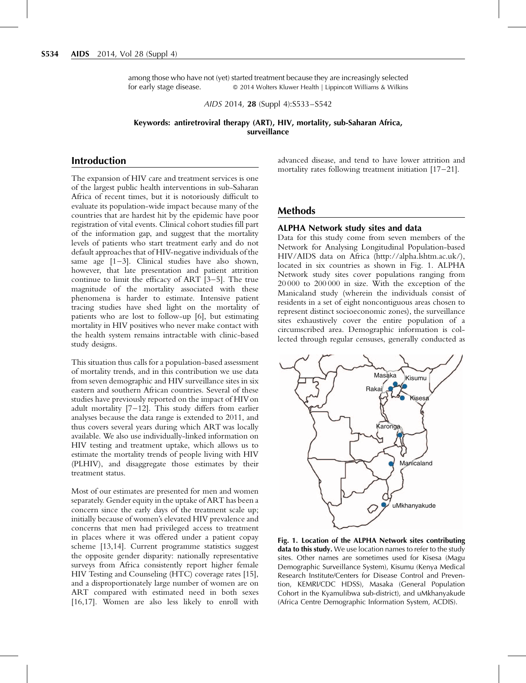among those who have not (yet) started treatment because they are increasingly selected for early stage disease.  $\circ$  2014 Wolters Kluwer Health | Lippincott Williams & Wilkins

AIDS 2014, 28 (Suppl 4):S533–S542

#### Keywords: antiretroviral therapy (ART), HIV, mortality, sub-Saharan Africa, surveillance

## Introduction

The expansion of HIV care and treatment services is one of the largest public health interventions in sub-Saharan Africa of recent times, but it is notoriously difficult to evaluate its population-wide impact because many of the countries that are hardest hit by the epidemic have poor registration of vital events. Clinical cohort studies fill part of the information gap, and suggest that the mortality levels of patients who start treatment early and do not default approaches that of HIV-negative individuals of the same age [\[1–3\]](#page-8-0). Clinical studies have also shown, however, that late presentation and patient attrition continue to limit the efficacy of ART [\[3–5\]](#page-8-0). The true magnitude of the mortality associated with these phenomena is harder to estimate. Intensive patient tracing studies have shed light on the mortality of patients who are lost to follow-up [\[6\]](#page-8-0), but estimating mortality in HIV positives who never make contact with the health system remains intractable with clinic-based study designs.

This situation thus calls for a population-based assessment of mortality trends, and in this contribution we use data from seven demographic and HIV surveillance sites in six eastern and southern African countries. Several of these studies have previously reported on the impact of HIVon adult mortality [\[7–12\]](#page-8-0). This study differs from earlier analyses because the data range is extended to 2011, and thus covers several years during which ART was locally available. We also use individually-linked information on HIV testing and treatment uptake, which allows us to estimate the mortality trends of people living with HIV (PLHIV), and disaggregate those estimates by their treatment status.

Most of our estimates are presented for men and women separately. Gender equity in the uptake of ART has been a concern since the early days of the treatment scale up; initially because of women's elevated HIV prevalence and concerns that men had privileged access to treatment in places where it was offered under a patient copay scheme [\[13,14\]](#page-9-0). Current programme statistics suggest the opposite gender disparity: nationally representative surveys from Africa consistently report higher female HIV Testing and Counseling (HTC) coverage rates [\[15\]](#page-9-0), and a disproportionately large number of women are on ART compared with estimated need in both sexes [\[16,17\]](#page-9-0). Women are also less likely to enroll with advanced disease, and tend to have lower attrition and mortality rates following treatment initiation [\[17–21\]](#page-9-0).

#### Methods

#### ALPHA Network study sites and data

Data for this study come from seven members of the Network for Analysing Longitudinal Population-based HIV/AIDS data on Africa [\(http://alpha.lshtm.ac.uk/](http://alpha.lshtm.ac.uk/)), located in six countries as shown in Fig. 1. ALPHA Network study sites cover populations ranging from 20 000 to 200 000 in size. With the exception of the Manicaland study (wherein the individuals consist of residents in a set of eight noncontiguous areas chosen to represent distinct socioeconomic zones), the surveillance sites exhaustively cover the entire population of a circumscribed area. Demographic information is collected through regular censuses, generally conducted as



Fig. 1. Location of the ALPHA Network sites contributing data to this study. We use location names to refer to the study sites. Other names are sometimes used for Kisesa (Magu Demographic Surveillance System), Kisumu (Kenya Medical Research Institute/Centers for Disease Control and Prevention, KEMRI/CDC HDSS), Masaka (General Population Cohort in the Kyamulibwa sub-district), and uMkhanyakude (Africa Centre Demographic Information System, ACDIS).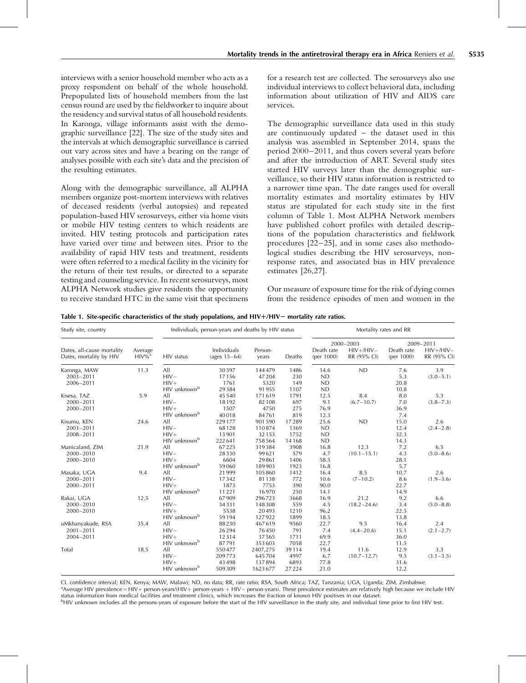<span id="page-2-0"></span>interviews with a senior household member who acts as a proxy respondent on behalf of the whole household. Prepopulated lists of household members from the last census round are used by the fieldworker to inquire about the residency and survival status of all household residents. In Karonga, village informants assist with the demographic surveillance [\[22\]](#page-9-0). The size of the study sites and the intervals at which demographic surveillance is carried out vary across sites and have a bearing on the range of analyses possible with each site's data and the precision of the resulting estimates.

Along with the demographic surveillance, all ALPHA members organize post-mortem interviews with relatives of deceased residents (verbal autopsies) and repeated population-based HIV serosurveys, either via home visits or mobile HIV testing centers to which residents are invited. HIV testing protocols and participation rates have varied over time and between sites. Prior to the availability of rapid HIV tests and treatment, residents were often referred to a medical facility in the vicinity for the return of their test results, or directed to a separate testing and counseling service. In recent serosurveys, most ALPHA Network studies give residents the opportunity to receive standard HTC in the same visit that specimens

for a research test are collected. The serosurveys also use individual interviews to collect behavioral data, including information about utilization of HIV and AIDS care services.

The demographic surveillance data used in this study are continuously updated – the dataset used in this analysis was assembled in September 2014, spans the period 2000–2011, and thus covers several years before and after the introduction of ART. Several study sites started HIV surveys later than the demographic surveillance, so their HIV status information is restricted to a narrower time span. The date ranges used for overall mortality estimates and mortality estimates by HIV status are stipulated for each study site in the first column of Table 1. Most ALPHA Network members have published cohort profiles with detailed descriptions of the population characteristics and fieldwork procedures [\[22–25\],](#page-9-0) and in some cases also methodological studies describing the HIV serosurveys, nonresponse rates, and associated bias in HIV prevalence estimates [\[26,27\]](#page-9-0).

Our measure of exposure time for the risk of dying comes from the residence episodes of men and women in the

|  |  |  |  |  |  |  | Table 1. Site-specific characteristics of the study populations, and HIV+/HIV- mortality rate ratios. |
|--|--|--|--|--|--|--|-------------------------------------------------------------------------------------------------------|
|--|--|--|--|--|--|--|-------------------------------------------------------------------------------------------------------|

| Study site, country                                   |                                 |                                                      | Individuals, person-years and deaths by HIV status |                                          |                                |                                             |                                         | Mortality rates and RR       |                                             |
|-------------------------------------------------------|---------------------------------|------------------------------------------------------|----------------------------------------------------|------------------------------------------|--------------------------------|---------------------------------------------|-----------------------------------------|------------------------------|---------------------------------------------|
| Dates, all-cause mortality<br>Dates, mortality by HIV | Average<br>$HIV\%$ <sup>a</sup> | HIV status                                           | Individuals<br>(ages $15-64$ )                     | Person-<br>years                         | Deaths                         | Death rate<br>(per 1000)                    | 2000-2003<br>$HIV+/HIV-$<br>RR (95% CI) | Death rate<br>(per 1000)     | 2009-2011<br>$HIV+$ / $HIV-$<br>RR (95% CI) |
| Karonga, MAW<br>$2003 - 2011$<br>2006-2011            | 11.3                            | All<br>$HIV -$<br>$HIV+$<br>HIV unknown <sup>b</sup> | 30397<br>17156<br>1761<br>29384                    | 144479<br>47204<br>5320<br>91955         | 1486<br>230<br>149<br>1107     | 14.6<br><b>ND</b><br><b>ND</b><br><b>ND</b> | <b>ND</b>                               | 7.6<br>5.3<br>20.8<br>10.8   | 3.9<br>$(3.0 - 5.1)$                        |
| Kisesa, TAZ<br>2000-2011<br>2000-2011                 | 5.9                             | All<br>$HIV-$<br>$HIV+$<br>HIV unknown <sup>b</sup>  | 45 5 40<br>18192<br>1507<br>40018                  | 171619<br>82108<br>4750<br>84761         | 1791<br>697<br>275<br>819      | 12.5<br>9.1<br>76.9<br>12.3                 | 8.4<br>$(6.7 - 10.7)$                   | 8.0<br>7.0<br>36.9<br>7.4    | 5.3<br>$(3.8 - 7.3)$                        |
| Kisumu, KEN<br>$2003 - 2011$<br>2008-2011             | 24.6                            | All<br>$HIV-$<br>$HIV+$<br>HIV unknown <sup>b</sup>  | 229177<br>68128<br>13 901<br>222 641               | 901590<br>110874<br>32153<br>758564      | 17289<br>1369<br>1752<br>14168 | 25.6<br>ND<br><b>ND</b><br><b>ND</b>        | <b>ND</b>                               | 15.0<br>12.4<br>32.3<br>14.3 | 2.6<br>$(2.4 - 2.8)$                        |
| Manicaland, ZIM<br>2000-2010<br>2000-2010             | 21.9                            | All<br>$HIV-$<br>$HIV+$<br>HIV unknown <sup>b</sup>  | 67225<br>28330<br>6604<br>59060                    | 319384<br>99621<br>29861<br>189903       | 3908<br>579<br>1406<br>1923    | 16.8<br>4.7<br>58.5<br>16.8                 | 12.3<br>$(10.1 - 15.1)$                 | 7.2<br>4.3<br>28.1<br>5.7    | 6.5<br>$(5.0 - 8.6)$                        |
| Masaka, UGA<br>2000-2011<br>2000-2011                 | 9.4                             | All<br>$HIV-$<br>$HIV+$<br>HIV unknown <sup>b</sup>  | 21999<br>17342<br>1873<br>11 2 2 1                 | 105 860<br>81138<br>7753<br>16970        | 1412<br>772<br>390<br>250      | 16.4<br>10.6<br>90.0<br>14.1                | 8.5<br>$(7-10.2)$                       | 10.7<br>8.6<br>22.7<br>14.9  | 2.6<br>$(1.9 - 3.6)$                        |
| Rakai, UGA<br>2000-2010<br>2000-2010                  | 12.5                            | All<br>$HIV -$<br>$HIV+$<br>HIV unknown <sup>b</sup> | 67909<br>34331<br>5538<br>59194                    | 296723<br>148308<br>20493<br>127922      | 3668<br>559<br>1210<br>1899    | 16.9<br>4.5<br>96.2<br>18.5                 | 21.2<br>$(18.2 - 24.6)$                 | 9.2<br>3.4<br>22.5<br>13.8   | 6.6<br>$(5.0 - 8.8)$                        |
| uMkhanyakude, RSA<br>$2001 - 2011$<br>2004-2011       | 35.4                            | All<br>$HIV -$<br>$HIV+$<br>HIV unknown <sup>b</sup> | 88230<br>26294<br>12314<br>87791                   | 467619<br>76450<br>37565<br>353 603      | 9560<br>791<br>1711<br>7058    | 22.7<br>7.4<br>69.9<br>22.7                 | 9.5<br>$(4.4 - 20.6)$                   | 16.4<br>15.1<br>36.0<br>11.5 | 2.4<br>$(2.1 - 2.7)$                        |
| Total                                                 | 18.5                            | All<br>$HIV-$<br>$HIV+$<br>HIV unknown <sup>b</sup>  | 550477<br>209773<br>43 4 98<br>509309              | 2407,275<br>645704<br>137894<br>1623 677 | 39114<br>4997<br>6893<br>27224 | 19.4<br>6.7<br>77.8<br>21.0                 | 11.6<br>$(10.7 - 12.7)$                 | 12.9<br>9.5<br>31.6<br>12.2  | 3.3<br>$(3.1 - 3.5)$                        |

CI, confidence interval; KEN, Kenya; MAW, Malawi; ND, no data; RR, rate ratio; RSA, South Africa; TAZ, Tanzania; UGA, Uganda; ZIM, Zimbabwe. a<br>Average HIV prevalence = HIV+ person-years/(HIV+ person-years + HIV- person-years). These prevalence estimates are relatively high because we include HIV status information from medical facilities and treatment clinics, which increases the fraction of known HIV positives in our dataset.

<sup>b</sup>HIV unknown includes all the persons-years of exposure before the start of the HIV surveillance in the study site, and individual time prior to first HIV test.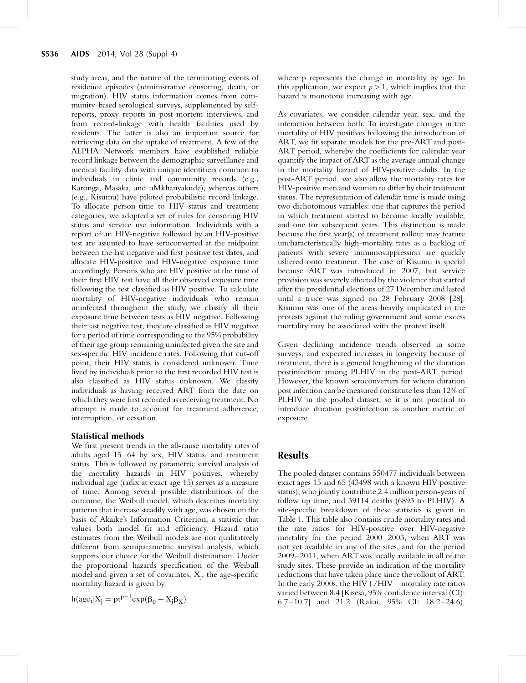study areas, and the nature of the terminating events of residence episodes (administrative censoring, death, or migration). HIV status information comes from community-based serological surveys, supplemented by selfreports, proxy reports in post-mortem interviews, and from record-linkage with health facilities used by residents. The latter is also an important source for retrieving data on the uptake of treatment. A few of the ALPHA Network members have established reliable record linkage between the demographic surveillance and medical facility data with unique identifiers common to individuals in clinic and community records (e.g., Karonga, Masaka, and uMkhanyakude), whereas others (e.g., Kisumu) have piloted probabilistic record linkage. To allocate person-time to HIV status and treatment categories, we adopted a set of rules for censoring HIV status and service use information. Individuals with a report of an HIV-negative followed by an HIV-positive test are assumed to have seroconverted at the midpoint between the last negative and first positive test dates, and allocate HIV-positive and HIV-negative exposure time accordingly. Persons who are HIV positive at the time of their first HIV test have all their observed exposure time following the test classified as HIV positive. To calculate mortality of HIV-negative individuals who remain uninfected throughout the study, we classify all their exposure time between tests as HIV negative. Following their last negative test, they are classified as HIV negative for a period of time corresponding to the 95% probability of their age group remaining uninfected given the site and sex-specific HIV incidence rates. Following that cut-off point, their HIV status is considered unknown. Time lived by individuals prior to the first recorded HIV test is also classified as HIV status unknown. We classify individuals as having received ART from the date on which they were first recorded as receiving treatment. No attempt is made to account for treatment adherence, interruption, or cessation.

#### Statistical methods

We first present trends in the all-cause mortality rates of adults aged 15–64 by sex, HIV status, and treatment status. This is followed by parametric survival analysis of the mortality hazards in HIV positives, whereby individual age (radix at exact age 15) serves as a measure of time. Among several possible distributions of the outcome, the Weibull model, which describes mortality patterns that increase steadily with age, was chosen on the basis of Akaike's Information Criterion, a statistic that values both model fit and efficiency. Hazard ratio estimates from the Weibull models are not qualitatively different from semiparametric survival analysis, which supports our choice for the Weibull distribution. Under the proportional hazards specification of the Weibull model and given a set of covariates,  $X_j$ , the age-specific mortality hazard is given by:

$$
h(age_t|X_j=pt^{p-1}exp(\beta_0+X_j\beta_X)
$$

where p represents the change in mortality by age. In this application, we expect  $p > 1$ , which implies that the hazard is monotone increasing with age.

As covariates, we consider calendar year, sex, and the interaction between both. To investigate changes in the mortality of HIV positives following the introduction of ART, we fit separate models for the pre-ART and post-ART period, whereby the coefficients for calendar year quantify the impact of ART as the average annual change in the mortality hazard of HIV-positive adults. In the post-ART period, we also allow the mortality rates for HIV-positive men and women to differ by their treatment status. The representation of calendar time is made using two dichotomous variables: one that captures the period in which treatment started to become locally available, and one for subsequent years. This distinction is made because the first year(s) of treatment rollout may feature uncharacteristically high-mortality rates as a backlog of patients with severe immunosuppression are quickly ushered onto treatment. The case of Kisumu is special because ART was introduced in 2007, but service provision was severely affected by the violence that started after the presidential elections of 27 December and lasted until a truce was signed on 28 February 2008 [\[28\]](#page-9-0). Kisumu was one of the areas heavily implicated in the protests against the ruling government and some excess mortality may be associated with the protest itself.

Given declining incidence trends observed in some surveys, and expected increases in longevity because of treatment, there is a general lengthening of the duration postinfection among PLHIV in the post-ART period. However, the known seroconverters for whom duration post infection can be measured constitute less than 12% of PLHIV in the pooled dataset, so it is not practical to introduce duration postinfection as another metric of exposure.

#### Results

The pooled dataset contains 550477 individuals between exact ages 15 and 65 (43498 with a known HIV positive status), who jointly contribute 2.4 million person-years of follow up time, and 39114 deaths (6893 to PLHIV). A site-specific breakdown of these statistics is given in [Table 1.](#page-2-0) This table also contains crude mortality rates and the rate ratios for HIV-positive over HIV-negative mortality for the period 2000–2003, when ART was not yet available in any of the sites, and for the period 2009–2011, when ARTwas locally available in all of the study sites. These provide an indication of the mortality reductions that have taken place since the rollout of ART. In the early 2000s, the  $HIV+$ / $HIV-$  mortality rate ratios varied between 8.4 [Kisesa, 95% confidence interval (CI): 6.7–10.7] and 21.2 (Rakai, 95% CI: 18.2–24.6).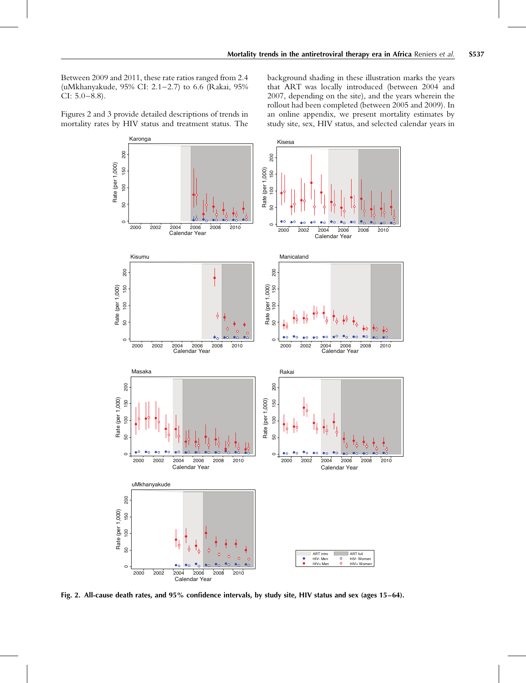<span id="page-4-0"></span>Between 2009 and 2011, these rate ratios ranged from 2.4 (uMkhanyakude, 95% CI: 2.1–2.7) to 6.6 (Rakai, 95%  $CI: 5.0-8.8$ ).

Figures 2 and 3 provide detailed descriptions of trends in mortality rates by HIV status and treatment status. The background shading in these illustration marks the years that ART was locally introduced (between 2004 and 2007, depending on the site), and the years wherein the rollout had been completed (between 2005 and 2009). In an online appendix, we present mortality estimates by study site, sex, HIV status, and selected calendar years in



Fig. 2. All-cause death rates, and 95% confidence intervals, by study site, HIV status and sex (ages 15–64).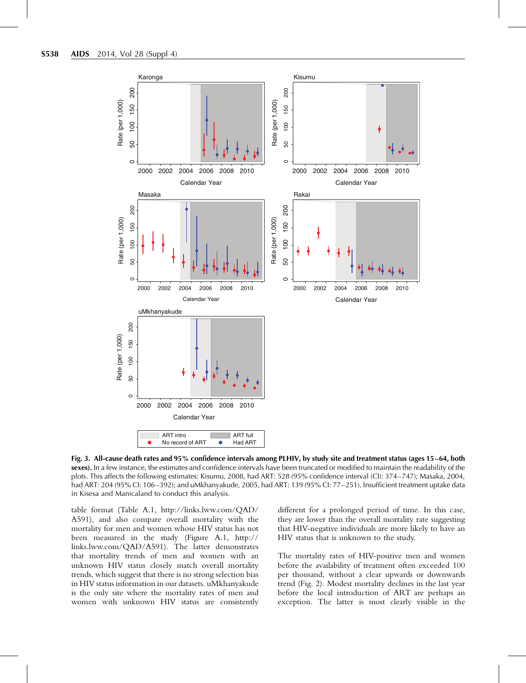<span id="page-5-0"></span>

Fig. 3. All-cause death rates and 95% confidence intervals among PLHIV, by study site and treatment status (ages 15–64, both sexes). In a few instance, the estimates and confidence intervals have been truncated or modified to maintain the readability of the plots. This affects the following estimates: Kisumu, 2008, had ART: 528 (95% confidence interval (CI): 374–747); Masaka, 2004, had ART: 204 (95% CI: 106–392); and uMkhanyakude, 2005, had ART: 139 (95% CI: 77–251). Insufficient treatment uptake data in Kisesa and Manicaland to conduct this analysis.

table format (Table A.1, [http://links.lww.com/QAD/](http://links.lww.com/QAD/A591) [A591](http://links.lww.com/QAD/A591)), and also compare overall mortality with the mortality for men and women whose HIV status has not been measured in the study (Figure A.1, [http://](http://links.lww.com/QAD/A591) [links.lww.com/QAD/A591\)](http://links.lww.com/QAD/A591). The latter demonstrates that mortality trends of men and women with an unknown HIV status closely match overall mortality trends, which suggest that there is no strong selection bias in HIV status information in our datasets. uMkhanyakude is the only site where the mortality rates of men and women with unknown HIV status are consistently different for a prolonged period of time. In this case, they are lower than the overall mortality rate suggesting that HIV-negative individuals are more likely to have an HIV status that is unknown to the study.

The mortality rates of HIV-positive men and women before the availability of treatment often exceeded 100 per thousand, without a clear upwards or downwards trend ([Fig. 2](#page-4-0)). Modest mortality declines in the last year before the local introduction of ART are perhaps an exception. The latter is most clearly visible in the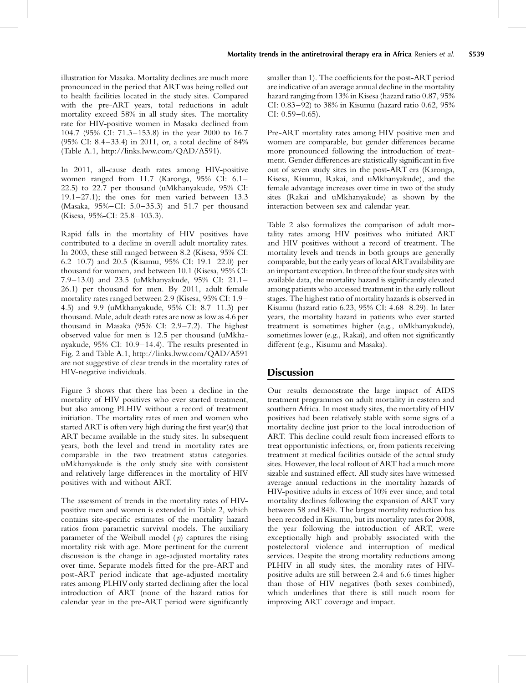illustration for Masaka. Mortality declines are much more pronounced in the period that ARTwas being rolled out to health facilities located in the study sites. Compared with the pre-ART years, total reductions in adult mortality exceed 58% in all study sites. The mortality rate for HIV-positive women in Masaka declined from 104.7 (95% CI: 71.3–153.8) in the year 2000 to 16.7 (95% CI: 8.4–33.4) in 2011, or, a total decline of 84% (Table A.1, [http://links.lww.com/QAD/A591\)](http://links.lww.com/QAD/A591).

In 2011, all-cause death rates among HIV-positive women ranged from 11.7 (Karonga, 95% CI: 6.1– 22.5) to 22.7 per thousand (uMkhanyakude, 95% CI: 19.1–27.1); the ones for men varied between 13.3 (Masaka, 95%–CI: 5.0–35.3) and 51.7 per thousand (Kisesa, 95%-CI: 25.8–103.3).

Rapid falls in the mortality of HIV positives have contributed to a decline in overall adult mortality rates. In 2003, these still ranged between 8.2 (Kisesa, 95% CI: 6.2–10.7) and 20.5 (Kisumu, 95% CI: 19.1–22.0) per thousand for women, and between 10.1 (Kisesa, 95% CI: 7.9–13.0) and 23.5 (uMkhanyakude, 95% CI: 21.1– 26.1) per thousand for men. By 2011, adult female mortality rates ranged between 2.9 (Kisesa, 95% CI: 1.9– 4.5) and 9.9 (uMkhanyakude, 95% CI: 8.7–11.3) per thousand. Male, adult death rates are now as low as 4.6 per thousand in Masaka (95% CI: 2.9–7.2). The highest observed value for men is 12.5 per thousand (uMkhanyakude, 95% CI: 10.9–14.4). The results presented in [Fig. 2](#page-4-0) and Table A.1,<http://links.lww.com/QAD/A591> are not suggestive of clear trends in the mortality rates of HIV-negative individuals.

[Figure 3](#page-5-0) shows that there has been a decline in the mortality of HIV positives who ever started treatment, but also among PLHIV without a record of treatment initiation. The mortality rates of men and women who started ART is often very high during the first year(s) that ART became available in the study sites. In subsequent years, both the level and trend in mortality rates are comparable in the two treatment status categories. uMkhanyakude is the only study site with consistent and relatively large differences in the mortality of HIV positives with and without ART.

The assessment of trends in the mortality rates of HIVpositive men and women is extended in [Table 2](#page-7-0), which contains site-specific estimates of the mortality hazard ratios from parametric survival models. The auxiliary parameter of the Weibull model  $(p)$  captures the rising mortality risk with age. More pertinent for the current discussion is the change in age-adjusted mortality rates over time. Separate models fitted for the pre-ART and post-ART period indicate that age-adjusted mortality rates among PLHIV only started declining after the local introduction of ART (none of the hazard ratios for calendar year in the pre-ART period were significantly

smaller than 1). The coefficients for the post-ART period are indicative of an average annual decline in the mortality hazard ranging from 13% in Kisesa (hazard ratio 0.87, 95% CI: 0.83–92) to 38% in Kisumu (hazard ratio 0.62, 95% CI: 0.59–0.65).

Pre-ART mortality rates among HIV positive men and women are comparable, but gender differences became more pronounced following the introduction of treatment. Gender differences are statistically significant in five out of seven study sites in the post-ART era (Karonga, Kisesa, Kisumu, Rakai, and uMkhanyakude), and the female advantage increases over time in two of the study sites (Rakai and uMkhanyakude) as shown by the interaction between sex and calendar year.

[Table 2](#page-7-0) also formalizes the comparison of adult mortality rates among HIV positives who initiated ART and HIV positives without a record of treatment. The mortality levels and trends in both groups are generally comparable, but the early years of local ARTavailability are an important exception. Inthree of the four study sites with available data, the mortality hazard is significantly elevated among patients who accessed treatment in the early rollout stages. The highest ratio of mortality hazards is observed in Kisumu (hazard ratio 6.23, 95% CI: 4.68–8.29). In later years, the mortality hazard in patients who ever started treatment is sometimes higher (e.g., uMkhanyakude), sometimes lower (e.g., Rakai), and often not significantly different (e.g., Kisumu and Masaka).

## Discussion

Our results demonstrate the large impact of AIDS treatment programmes on adult mortality in eastern and southern Africa. In most study sites, the mortality of HIV positives had been relatively stable with some signs of a mortality decline just prior to the local introduction of ART. This decline could result from increased efforts to treat opportunistic infections, or, from patients receiving treatment at medical facilities outside of the actual study sites. However, the local rollout of ART had a much more sizable and sustained effect. All study sites have witnessed average annual reductions in the mortality hazards of HIV-positive adults in excess of 10% ever since, and total mortality declines following the expansion of ART vary between 58 and 84%. The largest mortality reduction has been recorded in Kisumu, but its mortality rates for 2008, the year following the introduction of ART, were exceptionally high and probably associated with the postelectoral violence and interruption of medical services. Despite the strong mortality reductions among PLHIV in all study sites, the morality rates of HIVpositive adults are still between 2.4 and 6.6 times higher than those of HIV negatives (both sexes combined), which underlines that there is still much room for improving ART coverage and impact.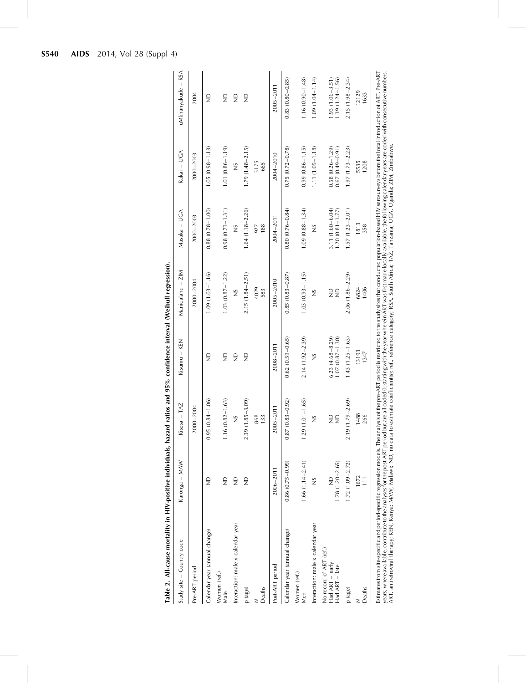<span id="page-7-0"></span>

| Table 2. All-cause mortality in HIV-positive individuals, hazard ratios and 95% confidence interval (Weibull regression)                                                                                                      |                                      |                                |                                            |                                |                                         |                                            |                                            |
|-------------------------------------------------------------------------------------------------------------------------------------------------------------------------------------------------------------------------------|--------------------------------------|--------------------------------|--------------------------------------------|--------------------------------|-----------------------------------------|--------------------------------------------|--------------------------------------------|
| Study site - Country code                                                                                                                                                                                                     | Karonga - MAW                        | Kisesa - TAZ                   | Kisumu - KEN                               | Manicaland - ZIM               | Masaka - UGA                            | Rakai - UGA                                | uMkhanyakude - RSA                         |
| Pre-ART period                                                                                                                                                                                                                |                                      | 2000-2004                      |                                            | 2000-2004                      | 2000-2003                               | 2000-2003                                  | 2004                                       |
| Calendar year (annual change)                                                                                                                                                                                                 | $\frac{1}{2}$                        | $(0.84 - 1.06)$<br>0.95        | $\frac{1}{2}$                              | $1.09(1.03 - 1.16)$            | $0.88(0.78 - 1.00)$                     | $1.05(0.98 - 1.13)$                        | $\frac{1}{2}$                              |
| Women (ref.)<br>Male                                                                                                                                                                                                          | $\frac{\Omega}{Z}$                   | $(0.82 - 1.63)$<br>1.16        | $\frac{1}{2}$                              | $1.03(0.87 - 1.22)$            | $0.98(0.73 - 1.31)$                     | $1.01(0.86 - 1.19)$                        | $\frac{D}{Z}$                              |
| Interaction: male x calendar year                                                                                                                                                                                             | $\frac{1}{2}$                        | Σ,                             | $\frac{1}{2}$                              | ΣX                             | $\frac{8}{2}$                           | $\frac{5}{2}$                              | $\frac{1}{2}$                              |
| p (age)                                                                                                                                                                                                                       | $\frac{D}{Z}$                        | $(1.85 - 3.09)$<br>2.39        | $\frac{D}{Z}$                              | $2.15(1.84 - 2.51)$            | $1.64(1.18-2.26)$                       | $1.79(1.48 - 2.15)$                        | $\frac{D}{Z}$                              |
| Deaths<br>Z                                                                                                                                                                                                                   |                                      | 868<br>133                     |                                            | 4029<br>583                    | 188<br>927                              | 3175<br>665                                |                                            |
| Post-ART period                                                                                                                                                                                                               | 2006-2011                            | $2005 - 2011$                  | 2008-2011                                  | $2005 - 2010$                  | 2004-2011                               | 2004-2010                                  | $2005 - 2011$                              |
| Calendar year (annual change)                                                                                                                                                                                                 | $0.86(0.75-0.99)$                    | $(0.83 - 0.92)$<br>0.87        | $0.62(0.59 - 0.65)$                        | $0.85(0.83 - 0.87)$            | $0.80(0.76 - 0.84)$                     | $0.75(0.72 - 0.78)$                        | $0.83(0.80 - 0.85)$                        |
| Women (ref.)<br>Men                                                                                                                                                                                                           | $1.66(1.14 - 2.41)$                  | $(1.01 - 1.65)$<br>1.29        | $2.14(1.92 - 2.39)$                        | $1.03(0.93 - 1.15)$            | $1.09(0.88 - 1.34)$                     | $0.99(0.86 - 1.15)$                        | $1.16(0.90 - 1.48)$                        |
| Interaction: male x calendar year                                                                                                                                                                                             | ž                                    | ΣX                             | 2                                          | $\frac{S}{Z}$                  | Σ,                                      | $1.11(1.05 - 1.18)$                        | $1.09(1.04 - 1.14)$                        |
| No record of ART (ref.)<br>Had ART - early<br>Had ART - late                                                                                                                                                                  | $1.78(1.20 - 2.65)$<br>$\frac{1}{2}$ | $\frac{D}{Z}$<br>$\frac{D}{Z}$ | $6.23(4.68 - 8.29)$<br>$1.07(0.87 - 1.30)$ | $\frac{D}{Z}$<br>$\frac{D}{Z}$ | 3.11 (1.60-6.04)<br>$1.20(0.81 - 1.77)$ | $0.58(0.26 - 1.29)$<br>$0.67(0.49 - 0.91)$ | $1.93(1.06 - 3.51)$<br>$1.39(1.24 - 1.56)$ |
| p (age)                                                                                                                                                                                                                       | $1.72(1.09 - 2.72)$                  | $(1.79 - 2.69)$<br>2.19        | $1.43(1.25 - 1.63)$                        | $2.06(1.86 - 2.29)$            | $1.57(1.23 - 2.01)$                     | $1.97(1.73 - 2.23)$                        | $2.15(1.98-2.34)$                          |
| Deaths                                                                                                                                                                                                                        | 1672<br>$\overline{1}$               | 1488<br>266                    | 13193<br>1347                              | 6824<br>1406                   | 1813<br>358                             | 5535<br>1208                               | 12129<br>1633                              |
| Estimates from site-specific and period-specific regression models. The analysis of the pre-ART period is restricted to the study sites that conducted population-based HIV serosurveys before the local introduction of ART. |                                      |                                |                                            |                                |                                         |                                            |                                            |

years, where available, contribute to the analyses for the post-ART period but are all coded 0; starting with the year wherein ART was first made locally available, the following calendar years are coded with consecutive n years, where available, contribute to the analyses for the post-of the post-ART period but are all coded 0; starting with the year wherein ART was first made locally available, the following calendar years are coded with c ART, antiretroviral therapy; KEN, Kenya; MAW, Malawi; ND, no data to estimate coefficient(s); ref., reference category; RSA, South Africa; TAZ, Tanzania; UGA, Uganda; ZIM, Zimbabwe.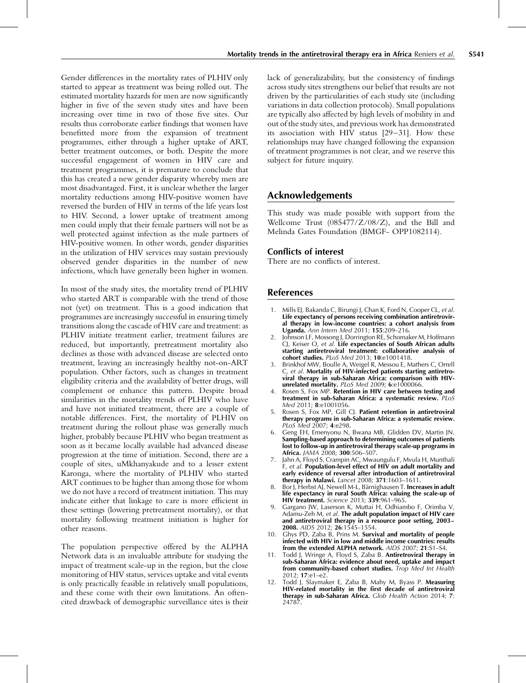<span id="page-8-0"></span>Gender differences in the mortality rates of PLHIV only started to appear as treatment was being rolled out. The estimated mortality hazards for men are now significantly higher in five of the seven study sites and have been increasing over time in two of those five sites. Our results thus corroborate earlier findings that women have benefitted more from the expansion of treatment programmes, either through a higher uptake of ART, better treatment outcomes, or both. Despite the more successful engagement of women in HIV care and treatment programmes, it is premature to conclude that this has created a new gender disparity whereby men are most disadvantaged. First, it is unclear whether the larger mortality reductions among HIV-positive women have reversed the burden of HIV in terms of the life years lost to HIV. Second, a lower uptake of treatment among men could imply that their female partners will not be as well protected against infection as the male partners of HIV-positive women. In other words, gender disparities in the utilization of HIV services may sustain previously observed gender disparities in the number of new infections, which have generally been higher in women.

In most of the study sites, the mortality trend of PLHIV who started ART is comparable with the trend of those not (yet) on treatment. This is a good indication that programmes are increasingly successful in ensuring timely transitions along the cascade of HIV care and treatment: as PLHIV initiate treatment earlier, treatment failures are reduced, but importantly, pretreatment mortality also declines as those with advanced disease are selected onto treatment, leaving an increasingly healthy not-on-ART population. Other factors, such as changes in treatment eligibility criteria and the availability of better drugs, will complement or enhance this pattern. Despite broad similarities in the mortality trends of PLHIV who have and have not initiated treatment, there are a couple of notable differences. First, the mortality of PLHIV on treatment during the rollout phase was generally much higher, probably because PLHIV who began treatment as soon as it became locally available had advanced disease progression at the time of initiation. Second, there are a couple of sites, uMkhanyakude and to a lesser extent Karonga, where the mortality of PLHIV who started ART continues to be higher than among those for whom we do not have a record of treatment initiation. This may indicate either that linkage to care is more efficient in these settings (lowering pretreatment mortality), or that mortality following treatment initiation is higher for other reasons.

The population perspective offered by the ALPHA Network data is an invaluable attribute for studying the impact of treatment scale-up in the region, but the close monitoring of HIV status, services uptake and vital events is only practically feasible in relatively small populations, and these come with their own limitations. An oftencited drawback of demographic surveillance sites is their lack of generalizability, but the consistency of findings across study sites strengthens our belief that results are not driven by the particularities of each study site (including variations in data collection protocols). Small populations are typically also affected by high levels of mobility in and out of the study sites, and previous work has demonstrated its association with HIV status [\[29–31\]](#page-9-0). How these relationships may have changed following the expansion of treatment programmes is not clear, and we reserve this subject for future inquiry.

## Acknowledgements

This study was made possible with support from the Wellcome Trust (085477/Z/08/Z), and the Bill and Melinda Gates Foundation (BMGF- OPP1082114).

#### Conflicts of interest

There are no conflicts of interest.

### References

- Mills EJ, Bakanda C, Birungi J, Chan K, Ford N, Cooper CL, et al. Life expectancy of persons receiving combination antiretroviral therapy in low-income countries: a cohort analysis from Uganda. Ann Intern Med 2011; 155:209–216.
- 2. Johnson LF, Mossong J, Dorrington RE, Schomaker M, Hoffmann CJ, Keiser O, et al. Life expectancies of South African adults starting antiretroviral treatment: collaborative analysis of cohort studies. PLoS Med 2013; 10:e1001418.
- 3. Brinkhof MW, Boulle A, Weigel R, Messou E, Mathers C, Orrell C, et al. Mortality of HIV-infected patients starting antiretroviral therapy in sub-Saharan Africa: comparison with HIVunrelated mortality. PLoS Med 2009; 6:e1000066.
- Rosen S, Fox MP. Retention in HIV care between testing and treatment in sub-Saharan Africa: a systematic review. PLoS Med 2011; 8:e1001056.
- 5. Rosen S, Fox MP, Gill CJ. Patient retention in antiretroviral therapy programs in sub-Saharan Africa: a systematic review. PLoS Med 2007; 4:e298.
- 6. Geng EH, Emenyonu N, Bwana MB, Glidden DV, Martin JN. Sampling-based approach to determining outcomes of patients lost to follow-up in antiretroviral therapy scale-up programs in Africa. JAMA 2008; 300:506–507.
- 7. Jahn A, Floyd S, Crampin AC, Mwaungulu F, Mvula H, Munthali F, et al. Population-level effect of HIV on adult mortality and early evidence of reversal after introduction of antiretroviral therapy in Malawi. Lancet 2008; 371:1603–1611.
- Bor J, Herbst AJ, Newell M-L, Bärnighausen T. Increases in adult life expectancy in rural South Africa: valuing the scale-up of HIV treatment. Science 2013; 339:961–965.
- 9. Gargano JW, Laserson K, Muttai H, Odhiambo F, Orimba V, Adamu-Zeh M, et al. The adult population impact of HIV care and antiretroviral therapy in a resource poor setting, 2003– 2008. AIDS 2012; 26:1545–1554.
- 10. Ghys PD, Zaba B, Prins M. Survival and mortality of people infected with HIV in low and middle income countries: results from the extended ALPHA network. AIDS 2007; 21:S1–S4.
- 11. Todd J, Wringe A, Floyd S, Zaba B. Antiretroviral therapy in sub-Saharan Africa: evidence about need, uptake and impact from community-based cohort studies. Trop Med Int Health 2012; 17:e1–e2.
- 12. Todd J, Slaymaker E, Zaba B, Mahy M, Byass P. Measuring HIV-related mortality in the first decade of antiretroviral therapy in sub-Saharan Africa. Glob Health Action 2014; 7: 24787.